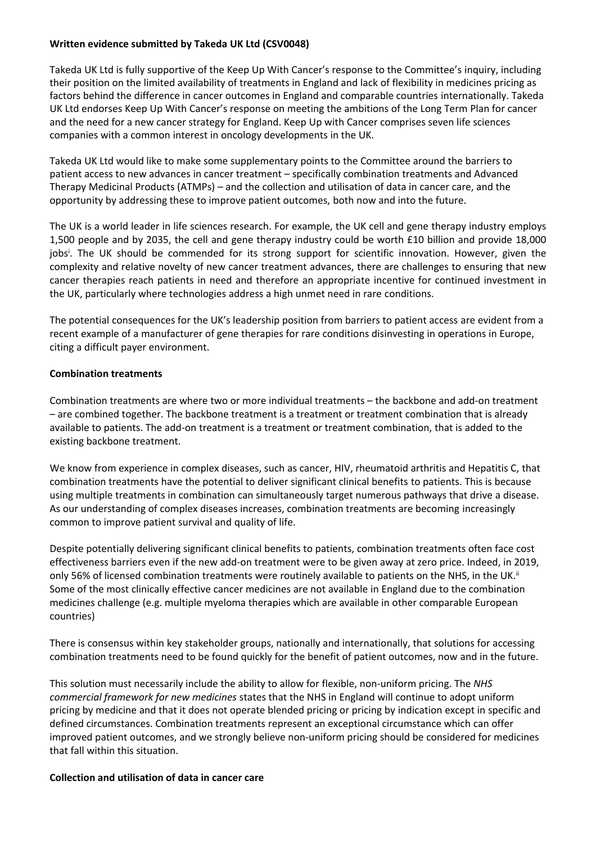### **Written evidence submitted by Takeda UK Ltd (CSV0048)**

Takeda UK Ltd is fully supportive of the Keep Up With Cancer's response to the Committee's inquiry, including their position on the limited availability of treatments in England and lack of flexibility in medicines pricing as factors behind the difference in cancer outcomes in England and comparable countries internationally. Takeda UK Ltd endorses Keep Up With Cancer's response on meeting the ambitions of the Long Term Plan for cancer and the need for a new cancer strategy for England. Keep Up with Cancer comprises seven life sciences companies with a common interest in oncology developments in the UK.

Takeda UK Ltd would like to make some supplementary points to the Committee around the barriers to patient access to new advances in cancer treatment – specifically combination treatments and Advanced Therapy Medicinal Products (ATMPs) – and the collection and utilisation of data in cancer care, and the opportunity by addressing these to improve patient outcomes, both now and into the future.

The UK is a world leader in life sciences research. For example, the UK cell and gene therapy industry employs 1,500 people and by 2035, the cell and gene therapy industry could be worth £10 billion and provide 18,000 jobs<sup>i</sup>. The UK should be commended for its strong support for scientific innovation. However, given the complexity and relative novelty of new cancer treatment advances, there are challenges to ensuring that new cancer therapies reach patients in need and therefore an appropriate incentive for continued investment in the UK, particularly where technologies address a high unmet need in rare conditions.

The potential consequences for the UK's leadership position from barriers to patient access are evident from a recent example of a manufacturer of gene therapies for rare conditions disinvesting in operations in Europe, citing a difficult payer environment.

### **Combination treatments**

Combination treatments are where two or more individual treatments – the backbone and add-on treatment – are combined together. The backbone treatment is a treatment or treatment combination that is already available to patients. The add-on treatment is a treatment or treatment combination, that is added to the existing backbone treatment.

We know from experience in complex diseases, such as cancer, HIV, rheumatoid arthritis and Hepatitis C, that combination treatments have the potential to deliver significant clinical benefits to patients. This is because using multiple treatments in combination can simultaneously target numerous pathways that drive a disease. As our understanding of complex diseases increases, combination treatments are becoming increasingly common to improve patient survival and quality of life.

Despite potentially delivering significant clinical benefits to patients, combination treatments often face cost effectiveness barriers even if the new add-on treatment were to be given away at zero price. Indeed, in 2019, only 56% of licensed combination treatments were routinely available to patients on the NHS, in the UK.<sup>ii</sup> Some of the most clinically effective cancer medicines are not available in England due to the combination medicines challenge (e.g. multiple myeloma therapies which are available in other comparable European countries)

There is consensus within key stakeholder groups, nationally and internationally, that solutions for accessing combination treatments need to be found quickly for the benefit of patient outcomes, now and in the future.

This solution must necessarily include the ability to allow for flexible, non-uniform pricing. The *NHS commercial framework for new medicines* states that the NHS in England will continue to adopt uniform pricing by medicine and that it does not operate blended pricing or pricing by indication except in specific and defined circumstances. Combination treatments represent an exceptional circumstance which can offer improved patient outcomes, and we strongly believe non-uniform pricing should be considered for medicines that fall within this situation.

### **Collection and utilisation of data in cancer care**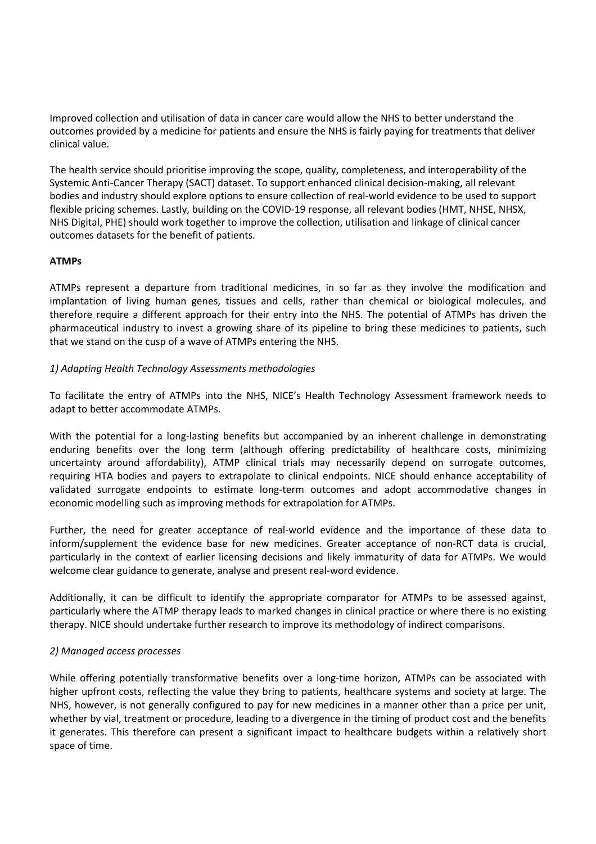Improved collection and utilisation of data in cancer care would allow the NHS to better understand the outcomes provided by a medicine for patients and ensure the NHS is fairly paying for treatments that deliver clinical value.

The health service should prioritise improving the scope, quality, completeness, and interoperability of the Systemic Anti-Cancer Therapy (SACT) dataset. To support enhanced clinical decision-making, all relevant bodies and industry should explore options to ensure collection of real-world evidence to be used to support flexible pricing schemes. Lastly, building on the COVID-19 response, all relevant bodies (HMT, NHSE, NHSX, NHS Digital, PHE) should work together to improve the collection, utilisation and linkage of clinical cancer outcomes datasets for the benefit of patients.

# **ATMPs**

ATMPs represent a departure from traditional medicines, in so far as they involve the modification and implantation of living human genes, tissues and cells, rather than chemical or biological molecules, and therefore require a different approach for their entry into the NHS. The potential of ATMPs has driven the pharmaceutical industry to invest a growing share of its pipeline to bring these medicines to patients, such that we stand on the cusp of a wave of ATMPs entering the NHS.

# *1) Adapting Health Technology Assessments methodologies*

To facilitate the entry of ATMPs into the NHS, NICE's Health Technology Assessment framework needs to adapt to better accommodate ATMPs.

With the potential for a long-lasting benefits but accompanied by an inherent challenge in demonstrating enduring benefits over the long term (although offering predictability of healthcare costs, minimizing uncertainty around affordability), ATMP clinical trials may necessarily depend on surrogate outcomes, requiring HTA bodies and payers to extrapolate to clinical endpoints. NICE should enhance acceptability of validated surrogate endpoints to estimate long-term outcomes and adopt accommodative changes in economic modelling such as improving methods for extrapolation for ATMPs.

Further, the need for greater acceptance of real-world evidence and the importance of these data to inform/supplement the evidence base for new medicines. Greater acceptance of non-RCT data is crucial, particularly in the context of earlier licensing decisions and likely immaturity of data for ATMPs. We would welcome clear guidance to generate, analyse and present real-word evidence.

Additionally, it can be difficult to identify the appropriate comparator for ATMPs to be assessed against, particularly where the ATMP therapy leads to marked changes in clinical practice or where there is no existing therapy. NICE should undertake further research to improve its methodology of indirect comparisons.

### *2) Managed access processes*

While offering potentially transformative benefits over a long-time horizon, ATMPs can be associated with higher upfront costs, reflecting the value they bring to patients, healthcare systems and society at large. The NHS, however, is not generally configured to pay for new medicines in a manner other than a price per unit, whether by vial, treatment or procedure, leading to a divergence in the timing of product cost and the benefits it generates. This therefore can present a significant impact to healthcare budgets within a relatively short space of time.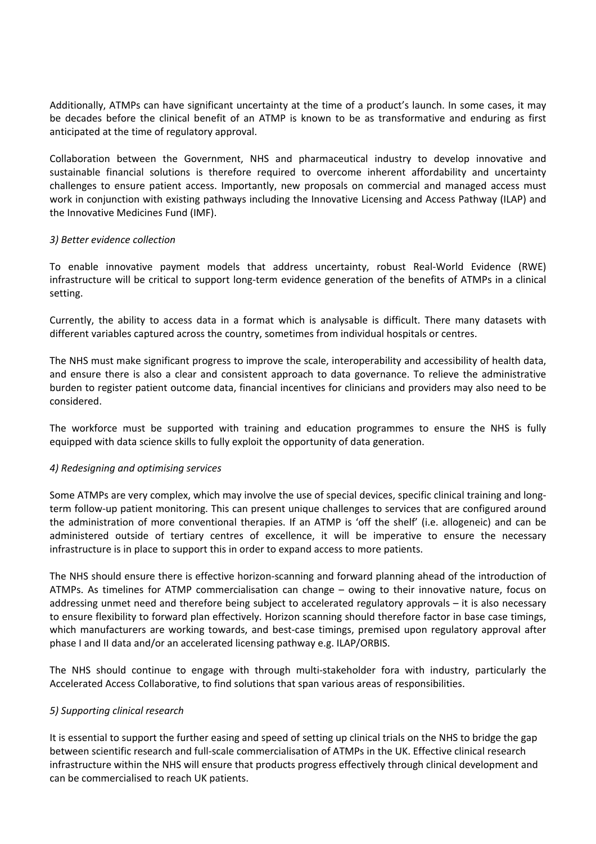Additionally, ATMPs can have significant uncertainty at the time of a product's launch. In some cases, it may be decades before the clinical benefit of an ATMP is known to be as transformative and enduring as first anticipated at the time of regulatory approval.

Collaboration between the Government, NHS and pharmaceutical industry to develop innovative and sustainable financial solutions is therefore required to overcome inherent affordability and uncertainty challenges to ensure patient access. Importantly, new proposals on commercial and managed access must work in conjunction with existing pathways including the Innovative Licensing and Access Pathway (ILAP) and the Innovative Medicines Fund (IMF).

### *3) Better evidence collection*

To enable innovative payment models that address uncertainty, robust Real-World Evidence (RWE) infrastructure will be critical to support long-term evidence generation of the benefits of ATMPs in a clinical setting.

Currently, the ability to access data in a format which is analysable is difficult. There many datasets with different variables captured across the country, sometimes from individual hospitals or centres.

The NHS must make significant progress to improve the scale, interoperability and accessibility of health data, and ensure there is also a clear and consistent approach to data governance. To relieve the administrative burden to register patient outcome data, financial incentives for clinicians and providers may also need to be considered.

The workforce must be supported with training and education programmes to ensure the NHS is fully equipped with data science skills to fully exploit the opportunity of data generation.

### *4) Redesigning and optimising services*

Some ATMPs are very complex, which may involve the use of special devices, specific clinical training and longterm follow-up patient monitoring. This can present unique challenges to services that are configured around the administration of more conventional therapies. If an ATMP is 'off the shelf' (i.e. allogeneic) and can be administered outside of tertiary centres of excellence, it will be imperative to ensure the necessary infrastructure is in place to support this in order to expand access to more patients.

The NHS should ensure there is effective horizon-scanning and forward planning ahead of the introduction of ATMPs. As timelines for ATMP commercialisation can change – owing to their innovative nature, focus on addressing unmet need and therefore being subject to accelerated regulatory approvals – it is also necessary to ensure flexibility to forward plan effectively. Horizon scanning should therefore factor in base case timings, which manufacturers are working towards, and best-case timings, premised upon regulatory approval after phase I and II data and/or an accelerated licensing pathway e.g. ILAP/ORBIS.

The NHS should continue to engage with through multi-stakeholder fora with industry, particularly the Accelerated Access Collaborative, to find solutions that span various areas of responsibilities.

### *5) Supporting clinical research*

It is essential to support the further easing and speed of setting up clinical trials on the NHS to bridge the gap between scientific research and full-scale commercialisation of ATMPs in the UK. Effective clinical research infrastructure within the NHS will ensure that products progress effectively through clinical development and can be commercialised to reach UK patients.